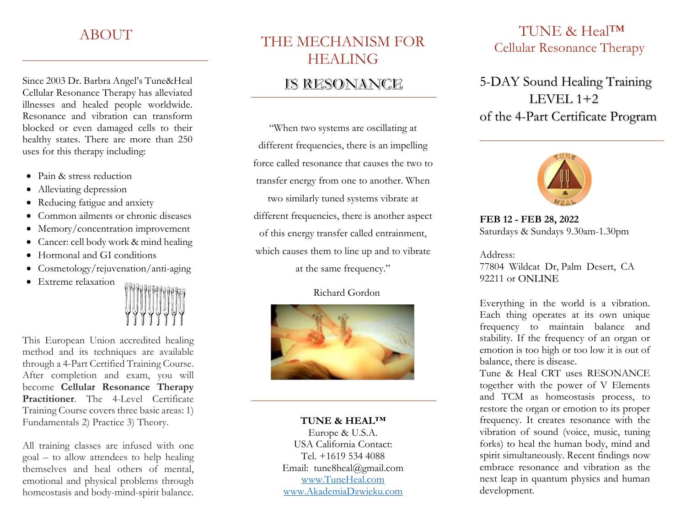### ABOUT

Since 2003 Dr. Barbra Angel's Tune&Heal Cellular Resonance Therapy has alleviated illnesses and healed people worldwide. Resonance and vibration can transform blocked or even damaged cells to their healthy states. There are more than 250 uses for this therapy including:

- Pain & stress reduction
- Alleviating depression
- Reducing fatigue and anxiety
- Common ailments or chronic diseases
- Memory/concentration improvement
- Cancer: cell body work & mind healing
- Hormonal and GI conditions
- Cosmetology/rejuvenation/anti-aging
- Extreme relaxation



This European Union accredited healing method and its techniques are available through a 4-Part Certified Training Course. After completion and exam, you will become **Cellular Resonance Therapy Practitioner**. The 4-Level Certificate Training Course covers three basic areas: 1) Fundamentals 2) Practice 3) Theory.

All training classes are infused with one goal – to allow attendees to help healing themselves and heal others of mental, emotional and physical problems through homeostasis and body-mind-spirit balance.

# THE MECHANISM FOR HEALING

### IS RESONANCE

"When two systems are oscillating at different frequencies, there is an impelling force called resonance that causes the two to transfer energy from one to another. When two similarly tuned systems vibrate at different frequencies, there is another aspect of this energy transfer called entrainment, which causes them to line up and to vibrate at the same frequency."

#### Richard Gordon



#### **TUNE & HEAL™**

Europe & U.S.A. USA California Contact: Tel. +1619 534 4088 Email: tune8heal@gmail.com [www.TuneHeal.com](http://www.tuneheal.com/)  [www.AkademiaDzwieku.com](http://www.akademiadzwieku.com/)

### TUNE & HealTM Cellular Resonance Therapy

5-DAY Sound Healing Training LEVEL  $1+2$ of the 4-Part Certificate Program



**FEB 12 - FEB 28, 2022** Saturdays & Sundays 9.30am-1.30pm

Address: 77804 Wildcat Dr, Palm Desert, CA 92211 or ONLINE

Everything in the world is a vibration. Each thing operates at its own unique frequency to maintain balance and stability. If the frequency of an organ or emotion is too high or too low it is out of balance, there is disease.

Tune & Heal CRT uses RESONANCE together with the power of V Elements and TCM as homeostasis process, to restore the organ or emotion to its proper frequency. It creates resonance with the vibration of sound (voice, music, tuning forks) to heal the human body, mind and spirit simultaneously. Recent findings now embrace resonance and vibration as the next leap in quantum physics and human development.